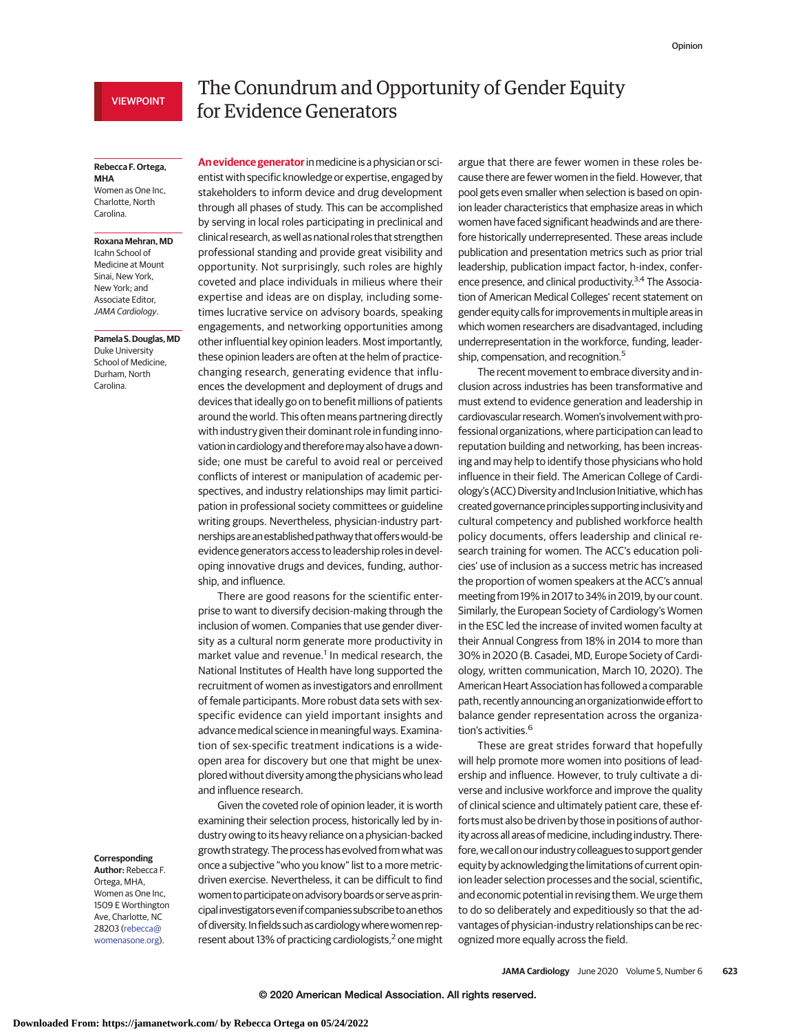# VIEWPOINT

# The Conundrum and Opportunity of Gender Equity for Evidence Generators

### **Rebecca F. Ortega, MHA**

Women as One Inc, Charlotte, North Carolina.

## **Roxana Mehran, MD**

Icahn School of Medicine at Mount Sinai, New York, New York; and Associate Editor, JAMA Cardiology.

#### **Pamela S.Douglas,MD**

Duke University School of Medicine, Durham, North Carolina.

#### **Corresponding**

**Author:** Rebecca F. Ortega, MHA, Women as One Inc, 1509 E Worthington Ave, Charlotte, NC 28203 [\(rebecca@](mailto:rebecca@womenasone.org) [womenasone.org\)](mailto:rebecca@womenasone.org).

**An evidence generator**inmedicine is a physician or scientist with specific knowledge or expertise, engaged by stakeholders to inform device and drug development through all phases of study. This can be accomplished by serving in local roles participating in preclinical and clinical research, as well as national roles that strengthen professional standing and provide great visibility and opportunity. Not surprisingly, such roles are highly coveted and place individuals in milieus where their expertise and ideas are on display, including sometimes lucrative service on advisory boards, speaking engagements, and networking opportunities among other influential key opinion leaders. Most importantly, these opinion leaders are often at the helm of practicechanging research, generating evidence that influences the development and deployment of drugs and devices that ideally go on to benefit millions of patients around the world. This often means partnering directly with industry given their dominant role in funding innovation in cardiology and thereforemay also have a downside; one must be careful to avoid real or perceived conflicts of interest or manipulation of academic perspectives, and industry relationships may limit participation in professional society committees or guideline writing groups. Nevertheless, physician-industry partnerships are an established pathway that offers would-be evidence generators access to leadership roles in developing innovative drugs and devices, funding, authorship, and influence.

There are good reasons for the scientific enterprise to want to diversify decision-making through the inclusion of women. Companies that use gender diversity as a cultural norm generate more productivity in market value and revenue.<sup>1</sup> In medical research, the National Institutes of Health have long supported the recruitment of women as investigators and enrollment of female participants. More robust data sets with sexspecific evidence can yield important insights and advance medical science in meaningful ways. Examination of sex-specific treatment indications is a wideopen area for discovery but one that might be unexplored without diversity among the physicians who lead and influence research.

Given the coveted role of opinion leader, it is worth examining their selection process, historically led by industry owing to its heavy reliance on a physician-backed growth strategy. The process hasevolved from what was once a subjective "who you know" list to a more metricdriven exercise. Nevertheless, it can be difficult to find women to participate on advisory boards or serve as principal investigators even if companies subscribe to an ethos of diversity. In fields such as cardiology where women represent about 13% of practicing cardiologists, $2$  one might

argue that there are fewer women in these roles because there are fewer women in the field. However, that pool gets even smaller when selection is based on opinion leader characteristics that emphasize areas in which women have faced significant headwinds and are therefore historically underrepresented. These areas include publication and presentation metrics such as prior trial leadership, publication impact factor, h-index, conference presence, and clinical productivity.<sup>3,4</sup> The Association of American Medical Colleges' recent statement on gender equity calls for improvements inmultiple areas in which women researchers are disadvantaged, including underrepresentation in the workforce, funding, leadership, compensation, and recognition.<sup>5</sup>

The recent movement to embrace diversity and inclusion across industries has been transformative and must extend to evidence generation and leadership in cardiovascular research. Women's involvement with professional organizations, where participation can lead to reputation building and networking, has been increasing and may help to identify those physicians who hold influence in their field. The American College of Cardiology's (ACC) Diversity and Inclusion Initiative, which has created governance principles supporting inclusivity and cultural competency and published workforce health policy documents, offers leadership and clinical research training for women. The ACC's education policies' use of inclusion as a success metric has increased the proportion of women speakers at the ACC's annual meeting from 19% in 2017 to 34% in 2019, by our count. Similarly, the European Society of Cardiology's Women in the ESC led the increase of invited women faculty at their Annual Congress from 18% in 2014 to more than 30% in 2020 (B. Casadei, MD, Europe Society of Cardiology, written communication, March 10, 2020). The American Heart Association has followed a comparable path, recently announcing an organizationwide effort to balance gender representation across the organization's activities.<sup>6</sup>

These are great strides forward that hopefully will help promote more women into positions of leadership and influence. However, to truly cultivate a diverse and inclusive workforce and improve the quality of clinical science and ultimately patient care, these efforts must also be driven by those in positions of authority across all areas of medicine, including industry. Therefore, we call on our industry colleagues to support gender equity by acknowledging the limitations of current opinion leader selection processes and the social, scientific, and economic potential in revising them. We urge them to do so deliberately and expeditiously so that the advantages of physician-industry relationships can be recognized more equally across the field.